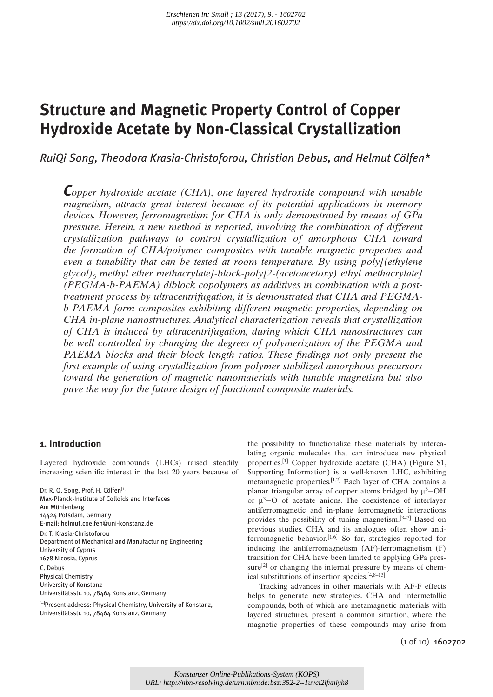# **Structure and Magnetic Property Control of Copper Hydroxide Acetate by Non-Classical Crystallization**

*RuiQi Song, Theodora Krasia-Christoforou, Christian Debus, and Helmut Cölfen\**

*C<sub>opper</sub> hydroxide acetate (CHA), one layered hydroxide compound with tunable magnetism, attracts great interest because of its potential applications in memory devices. However, ferromagnetism for CHA is only demonstrated by means of GPa pressure. Herein, a new method is reported, involving the combination of different crystallization pathways to control crystallization of amorphous CHA toward the formation of CHA/polymer composites with tunable magnetic properties and even a tunability that can be tested at room temperature. By using poly[(ethylene glycol)6 methyl ether methacrylate]-block-poly[2-(acetoacetoxy) ethyl methacrylate] (PEGMA-b-PAEMA) diblock copolymers as additives in combination with a posttreatment process by ultracentrifugation, it is demonstrated that CHA and PEGMAb-PAEMA form composites exhibiting different magnetic properties, depending on CHA in-plane nanostructures. Analytical characterization reveals that crystallization of CHA is induced by ultracentrifugation, during which CHA nanostructures can be well controlled by changing the degrees of polymerization of the PEGMA and PAEMA blocks and their block length ratios. These findings not only present the first example of using crystallization from polymer stabilized amorphous precursors toward the generation of magnetic nanomaterials with tunable magnetism but also pave the way for the future design of functional composite materials.*

# **1. Introduction**

Layered hydroxide compounds (LHCs) raised steadily increasing scientific interest in the last 20 years because of

Dr. R. Q. Song, Prof. H. Cölfen<sup>[+]</sup> Max-Planck-Institute of Colloids and Interfaces Am Mühlenberg 14424 Potsdam, Germany E-mail: helmut.coelfen@uni-konstanz.de Dr. T. Krasia-Christoforou Department of Mechanical and Manufacturing Engineering University of Cyprus 1678 Nicosia, Cyprus C. Debus Physical Chemistry University of Konstanz Universitätsstr. 10, 78464 Konstanz, Germany

[+] Present address: Physical Chemistry, University of Konstanz, Universitätsstr. 10, 78464 Konstanz, Germany

the possibility to functionalize these materials by intercalating organic molecules that can introduce new physical properties.[1] Copper hydroxide acetate (CHA) (Figure S1, Supporting Information) is a well-known LHC, exhibiting metamagnetic properties.[1,2] Each layer of CHA contains a planar triangular array of copper atoms bridged by  $\mu$ <sup>3</sup>-OH or  $\mu$ <sup>3</sup>–O of acetate anions. The coexistence of interlayer antiferromagnetic and in-plane ferromagnetic interactions provides the possibility of tuning magnetism.[3–7] Based on previous studies, CHA and its analogues often show antiferromagnetic behavior.[1,6] So far, strategies reported for inducing the antiferromagnetism (AF)-ferromagnetism (F) transition for CHA have been limited to applying GPa pressure $[2]$  or changing the internal pressure by means of chemical substitutions of insertion species.[4,8–13]

Tracking advances in other materials with AF-F effects helps to generate new strategies. CHA and intermetallic compounds, both of which are metamagnetic materials with layered structures, present a common situation, where the magnetic properties of these compounds may arise from

 $(1 0f 10) 1602702$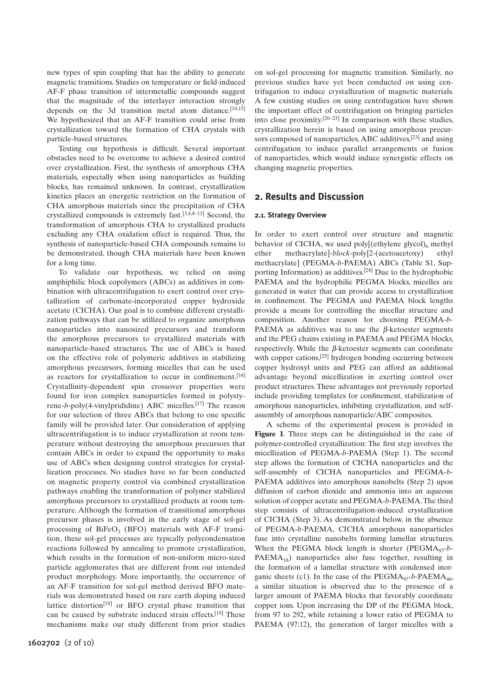new types of spin coupling that has the ability to generate magnetic transitions. Studies on temperature or field-induced AF-F phase transition of intermetallic compounds suggest that the magnitude of the interlayer interaction strongly depends on the 3d transition metal atom distance.<sup>[14,15]</sup> We hypothesized that an AF-F transition could arise from crystallization toward the formation of CHA crystals with particle-based structures.

Testing our hypothesis is difficult. Several important obstacles need to be overcome to achieve a desired control over crystallization. First, the synthesis of amorphous CHA materials, especially when using nanoparticles as building blocks, has remained unknown. In contrast, crystallization kinetics places an energetic restriction on the formation of CHA amorphous materials since the precipitation of CHA crystallized compounds is extremely fast.[3,4,8–13] Second, the transformation of amorphous CHA to crystallized products excluding any CHA oxidation effect is required. Thus, the synthesis of nanoparticle-based CHA compounds remains to be demonstrated, though CHA materials have been known for a long time.

To validate our hypothesis, we relied on using amphiphilic block copolymers (ABCs) as additives in combination with ultracentrifugation to exert control over crystallization of carbonate-incorporated copper hydroxide acetate (CICHA). Our goal is to combine different crystallization pathways that can be utilized to organize amorphous nanoparticles into nanosized precursors and transform the amorphous precursors to crystallized materials with nanoparticle-based structures. The use of ABCs is based on the effective role of polymeric additives in stabilizing amorphous precursors, forming micelles that can be used as reactors for crystallization to occur in confinement.<sup>[16]</sup> Crystallinity-dependent spin crossover properties were found for iron complex nanoparticles formed in polystyrene-*b*-poly(4-vinylprididine) ABC micelles.[17] The reason for our selection of three ABCs that belong to one specific family will be provided later. Our consideration of applying ultracentrifugation is to induce crystallization at room temperature without destroying the amorphous precursors that contain ABCs in order to expand the opportunity to make use of ABCs when designing control strategies for crystallization processes. No studies have so far been conducted on magnetic property control via combined crystallization pathways enabling the transformation of polymer stabilized amorphous precursors to crystallized products at room temperature. Although the formation of transitional amorphous precursor phases is involved in the early stage of sol-gel processing of  $BiFeO<sub>3</sub>$  (BFO) materials with AF-F transition, these sol-gel processes are typically polycondensation reactions followed by annealing to promote crystallization, which results in the formation of non-uniform micro-sized particle agglomerates that are different from our intended product morphology. More importantly, the occurrence of an AF-F transition for sol-gel method derived BFO materials was demonstrated based on rare earth doping induced lattice distortion[18] or BFO crystal phase transition that can be caused by substrate induced strain effects.[19] These mechanisms make our study different from prior studies on sol-gel processing for magnetic transition. Similarly, no previous studies have yet been conducted on using centrifugation to induce crystallization of magnetic materials. A few existing studies on using centrifugation have shown the important effect of centrifugation on bringing particles into close proximity.[20–23] In comparison with these studies, crystallization herein is based on using amorphous precursors composed of nanoparticles, ABC additives,<sup>[23]</sup> and using centrifugation to induce parallel arrangements or fusion of nanoparticles, which would induce synergistic effects on changing magnetic properties.

## **2. Results and Discussion**

#### **2.1. Strategy Overview**

In order to exert control over structure and magnetic behavior of CICHA, we used poly $[(\text{ethylene glycol})_6 \text{ methyl}$ ether methacrylate]-*block*-poly[2-(acetoacetoxy) ethyl methacrylate] (PEGMA-*b*-PAEMA) ABCs (Table S1, Supporting Information) as additives.[24] Due to the hydrophobic PAEMA and the hydrophilic PEGMA blocks, micelles are generated in water that can provide access to crystallization in confinement. The PEGMA and PAEMA block lengths provide a means for controlling the micellar structure and composition. Another reason for choosing PEGMA-*b*-PAEMA as additives was to use the  $β$ -ketoester segments and the PEG chains existing in PAEMA and PEGMA blocks, respectively. While the β-ketoester segments can coordinate with copper cations,<sup>[25]</sup> hydrogen bonding occurring between copper hydroxyl units and PEG can afford an additional advantage beyond micellization in exerting control over product structures. These advantages not previously reported include providing templates for confinement, stabilization of amorphous nanoparticles, inhibiting crystallization, and selfassembly of amorphous nanoparticle/ABC composites.

A scheme of the experimental process is provided in **Figure 1**. Three steps can be distinguished in the case of polymer-controlled crystallization: The first step involves the micellization of PEGMA-*b*-PAEMA (Step 1). The second step allows the formation of CICHA nanoparticles and the self-assembly of CICHA nanoparticles and PEGMA-*b*-PAEMA additives into amorphous nanobelts (Step 2) upon diffusion of carbon dioxide and ammonia into an aqueous solution of copper acetate and PEGMA-*b*-PAEMA. The third step consists of ultracentrifugation-induced crystallization of CICHA (Step 3). As demonstrated below, in the absence of PEGMA-*b*-PAEMA, CICHA amorphous nanoparticles fuse into crystalline nanobelts forming lamellar structures. When the PEGMA block length is shorter (PEGMA $_{97}$ -b- $PAEMA_{18}$ ) nanoparticles also fuse together, resulting in the formation of a lamellar structure with condensed inorganic sheets (c1). In the case of the  $PEGMA_{07}$ -*b*-PAEMA<sub>46</sub>, a similar situation is observed due to the presence of a larger amount of PAEMA blocks that favorably coordinate copper ions. Upon increasing the DP of the PEGMA block, from 97 to 292, while retaining a lower ratio of PEGMA to PAEMA (97:12), the generation of larger micelles with a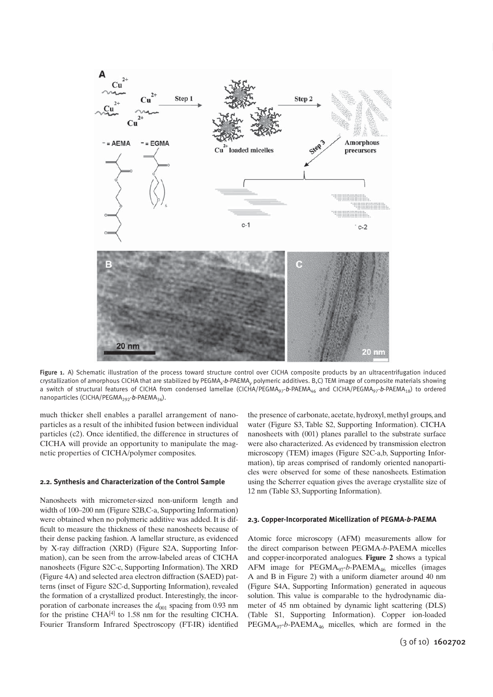

Figure 1. A) Schematic illustration of the process toward structure control over CICHA composite products by an ultracentrifugation induced crystallization of amorphous CICHA that are stabilized by PEGMA*x*-*b*-PAEMA*y* polymeric additives. B,C) TEM image of composite materials showing a switch of structural features of CICHA from condensed lamellae (CICHA/PEGMA<sub>97</sub>-b-PAEMA<sub>46</sub> and CICHA/PEGMA<sub>97</sub>-b-PAEMA<sub>18</sub>) to ordered nanoparticles (CICHA/PEGMA<sub>292</sub>-b-PAEMA<sub>36</sub>).

much thicker shell enables a parallel arrangement of nanoparticles as a result of the inhibited fusion between individual particles (c2). Once identified, the difference in structures of CICHA will provide an opportunity to manipulate the magnetic properties of CICHA/polymer composites.

#### **2.2. Synthesis and Characterization of the Control Sample**

Nanosheets with micrometer-sized non-uniform length and width of 100–200 nm (Figure S2B,C-a, Supporting Information) were obtained when no polymeric additive was added. It is difficult to measure the thickness of these nanosheets because of their dense packing fashion. A lamellar structure, as evidenced by X-ray diffraction (XRD) (Figure S2A, Supporting Information), can be seen from the arrow-labeled areas of CICHA nanosheets (Figure S2C-c, Supporting Information). The XRD (Figure 4A) and selected area electron diffraction (SAED) patterns (inset of Figure S2C-d, Supporting Information), revealed the formation of a crystallized product. Interestingly, the incorporation of carbonate increases the  $d_{001}$  spacing from 0.93 nm for the pristine CHA[4] to 1.58 nm for the resulting CICHA. Fourier Transform Infrared Spectroscopy (FT-IR) identified

the presence of carbonate, acetate, hydroxyl, methyl groups, and water (Figure S3, Table S2, Supporting Information). CICHA nanosheets with (001) planes parallel to the substrate surface were also characterized. As evidenced by transmission electron microscopy (TEM) images (Figure S2C-a,b, Supporting Information), tip areas comprised of randomly oriented nanoparticles were observed for some of these nanosheets. Estimation using the Scherrer equation gives the average crystallite size of 12 nm (Table S3, Supporting Information).

#### **2.3. Copper-Incorporated Micellization of PEGMA-***b***-PAEMA**

Atomic force microscopy (AFM) measurements allow for the direct comparison between PEGMA-*b*-PAEMA micelles and copper-incorporated analogues. **Figure 2** shows a typical AFM image for PEGMA<sub>97</sub>-b-PAEMA<sub>46</sub> micelles (images A and B in Figure 2) with a uniform diameter around 40 nm (Figure S4A, Supporting Information) generated in aqueous solution. This value is comparable to the hydrodynamic diameter of 45 nm obtained by dynamic light scattering (DLS) (Table S1, Supporting Information). Copper ion-loaded  $PEGMA_{97}$ -*b*-PAEMA<sub>46</sub> micelles, which are formed in the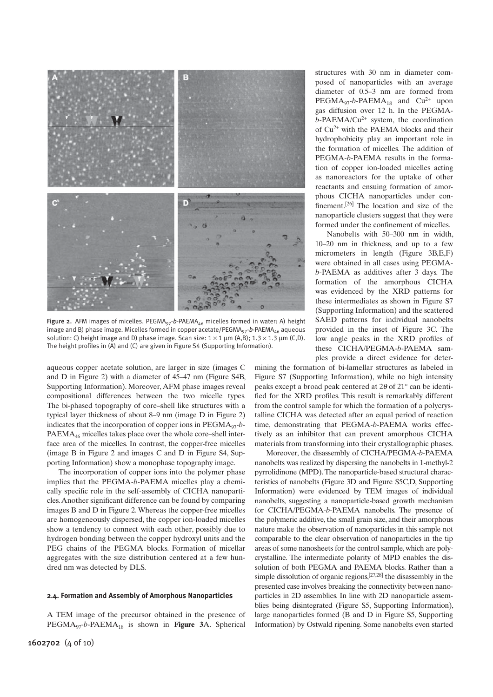

Figure 2. AFM images of micelles. PEGMA<sub>97</sub>-b-PAEMA<sub>46</sub> micelles formed in water: A) height image and B) phase image. Micelles formed in copper acetate/PEGMA<sub>97</sub>-b-PAEMA<sub>46</sub> aqueous solution: C) height image and D) phase image. Scan size:  $1 \times 1$   $\mu$ m (A,B);  $1.3 \times 1.3$   $\mu$ m (C,D). The height profiles in (A) and (C) are given in Figure S4 (Supporting Information).

aqueous copper acetate solution, are larger in size (images C and D in Figure 2) with a diameter of 45–47 nm (Figure S4B, Supporting Information). Moreover, AFM phase images reveal compositional differences between the two micelle types. The bi-phased topography of core–shell like structures with a typical layer thickness of about 8–9 nm (image D in Figure 2) indicates that the incorporation of copper ions in  $PEGMA_{97}$ -*b*- $PAEMA<sub>46</sub>$  micelles takes place over the whole core–shell interface area of the micelles. In contrast, the copper-free micelles (image B in Figure 2 and images C and D in Figure S4, Supporting Information) show a monophase topography image.

The incorporation of copper ions into the polymer phase implies that the PEGMA-*b*-PAEMA micelles play a chemically specific role in the self-assembly of CICHA nanoparticles. Another significant difference can be found by comparing images B and D in Figure 2. Whereas the copper-free micelles are homogeneously dispersed, the copper ion-loaded micelles show a tendency to connect with each other, possibly due to hydrogen bonding between the copper hydroxyl units and the PEG chains of the PEGMA blocks. Formation of micellar aggregates with the size distribution centered at a few hundred nm was detected by DLS.

#### **2.4. Formation and Assembly of Amorphous Nanoparticles**

A TEM image of the precursor obtained in the presence of  $PEGMA_{97}$ - $b$ -PAEMA<sub>18</sub> is shown in **Figure** 3A. Spherical structures with 30 nm in diameter composed of nanoparticles with an average diameter of 0.5–3 nm are formed from  $PEGMA_{97}$ -*b*-PAEMA<sub>18</sub> and Cu<sup>2+</sup> upon gas diffusion over 12 h. In the PEGMA $b$ -PAEMA/Cu<sup>2+</sup> system, the coordination of Cu2<sup>+</sup> with the PAEMA blocks and their hydrophobicity play an important role in the formation of micelles. The addition of PEGMA-*b*-PAEMA results in the formation of copper ion-loaded micelles acting as nanoreactors for the uptake of other reactants and ensuing formation of amorphous CICHA nanoparticles under confinement.[26] The location and size of the nanoparticle clusters suggest that they were formed under the confinement of micelles.

Nanobelts with 50–300 nm in width, 10–20 nm in thickness, and up to a few micrometers in length (Figure 3B,E,F) were obtained in all cases using PEGMA*b*-PAEMA as additives after 3 days. The formation of the amorphous CICHA was evidenced by the XRD patterns for these intermediates as shown in Figure S7 (Supporting Information) and the scattered SAED patterns for individual nanobelts provided in the inset of Figure 3C. The low angle peaks in the XRD profiles of these CICHA/PEGMA-*b*-PAEMA samples provide a direct evidence for deter-

mining the formation of bi-lamellar structures as labeled in Figure S7 (Supporting Information), while no high intensity peaks except a broad peak centered at 2θ of 21° can be identified for the XRD profiles. This result is remarkably different from the control sample for which the formation of a polycrystalline CICHA was detected after an equal period of reaction time, demonstrating that PEGMA-*b*-PAEMA works effectively as an inhibitor that can prevent amorphous CICHA materials from transforming into their crystallographic phases.

Moreover, the disassembly of CICHA/PEGMA-*b*-PAEMA nanobelts was realized by dispersing the nanobelts in 1-methyl-2 pyrrolidinone (MPD). The nanoparticle-based structural characteristics of nanobelts (Figure 3D and Figure S5C,D, Supporting Information) were evidenced by TEM images of individual nanobelts, suggesting a nanoparticle-based growth mechanism for CICHA/PEGMA-*b*-PAEMA nanobelts. The presence of the polymeric additive, the small grain size, and their amorphous nature make the observation of nanoparticles in this sample not comparable to the clear observation of nanoparticles in the tip areas of some nanosheets for the control sample, which are polycrystalline. The intermediate polarity of MPD enables the dissolution of both PEGMA and PAEMA blocks. Rather than a simple dissolution of organic regions,  $[27,28]$  the disassembly in the presented case involves breaking the connectivity between nanoparticles in 2D assemblies. In line with 2D nanoparticle assemblies being disintegrated (Figure S5, Supporting Information), large nanoparticles formed (B and D in Figure S5, Supporting Information) by Ostwald ripening. Some nanobelts even started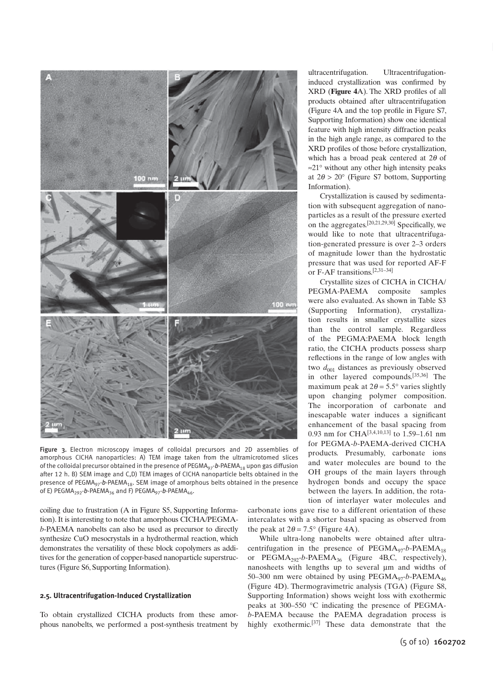

Figure 3. Electron microscopy images of colloidal precursors and 2D assemblies of amorphous CICHA nanoparticles: A) TEM image taken from the ultramicrotomed slices of the colloidal precursor obtained in the presence of PEGMA<sub>97</sub>-b-PAEMA<sub>18</sub> upon gas diffusion after 12 h. B) SEM image and C,D) TEM images of CICHA nanoparticle belts obtained in the presence of PEGMA<sub>97</sub>-b-PAEMA<sub>18</sub>. SEM image of amorphous belts obtained in the presence of E) PEGMA<sub>292</sub>-b-PAEMA<sub>36</sub> and F) PEGMA<sub>97</sub>-b-PAEMA<sub>46</sub>.

coiling due to frustration (A in Figure S5, Supporting Information). It is interesting to note that amorphous CICHA/PEGMA*b*-PAEMA nanobelts can also be used as precursor to directly synthesize CuO mesocrystals in a hydrothermal reaction, which demonstrates the versatility of these block copolymers as additives for the generation of copper-based nanoparticle superstructures (Figure S6, Supporting Information).

#### **2.5. Ultracentrifugation-Induced Crystallization**

To obtain crystallized CICHA products from these amorphous nanobelts, we performed a post-synthesis treatment by ultracentrifugation. Ultracentrifugationinduced crystallization was confirmed by XRD (**Figure 4**A). The XRD profiles of all products obtained after ultracentrifugation (Figure 4A and the top profile in Figure S7, Supporting Information) show one identical feature with high intensity diffraction peaks in the high angle range, as compared to the XRD profiles of those before crystallization, which has a broad peak centered at 2θ of ≈21° without any other high intensity peaks at  $2\theta > 20^{\circ}$  (Figure S7 bottom, Supporting Information).

Crystallization is caused by sedimentation with subsequent aggregation of nanoparticles as a result of the pressure exerted on the aggregates.<sup>[20,21,29,30]</sup> Specifically, we would like to note that ultracentrifugation-generated pressure is over 2–3 orders of magnitude lower than the hydrostatic pressure that was used for reported AF-F or F-AF transitions.[2,31–34]

Crystallite sizes of CICHA in CICHA/ PEGMA-PAEMA composite samples were also evaluated. As shown in Table S3 (Supporting Information), crystallization results in smaller crystallite sizes than the control sample. Regardless of the PEGMA:PAEMA block length ratio, the CICHA products possess sharp reflections in the range of low angles with two  $d_{001}$  distances as previously observed in other layered compounds.[35,36] The maximum peak at  $2\theta = 5.5^{\circ}$  varies slightly upon changing polymer composition. The incorporation of carbonate and inescapable water induces a significant enhancement of the basal spacing from 0.93 nm for CHA<sup>[3,4,10,13]</sup> to 1.59–1.61 nm for PEGMA-*b*-PAEMA-derived CICHA products. Presumably, carbonate ions and water molecules are bound to the OH groups of the main layers through hydrogen bonds and occupy the space between the layers. In addition, the rotation of interlayer water molecules and

carbonate ions gave rise to a different orientation of these intercalates with a shorter basal spacing as observed from the peak at  $2\theta = 7.5^{\circ}$  (Figure 4A).

While ultra-long nanobelts were obtained after ultracentrifugation in the presence of  $PEGMA_{97}$ -b-PAEMA<sub>18</sub> or PEGMA<sub>292</sub>-b-PAEMA<sub>36</sub> (Figure 4B,C, respectively), nanosheets with lengths up to several μm and widths of 50–300 nm were obtained by using  $PEGMA_{97}$ - $b$ -PAEMA<sub>46</sub> (Figure 4D). Thermogravimetric analysis (TGA) (Figure S8, Supporting Information) shows weight loss with exothermic peaks at 300–550 °C indicating the presence of PEGMA*b*-PAEMA because the PAEMA degradation process is highly exothermic.[37] These data demonstrate that the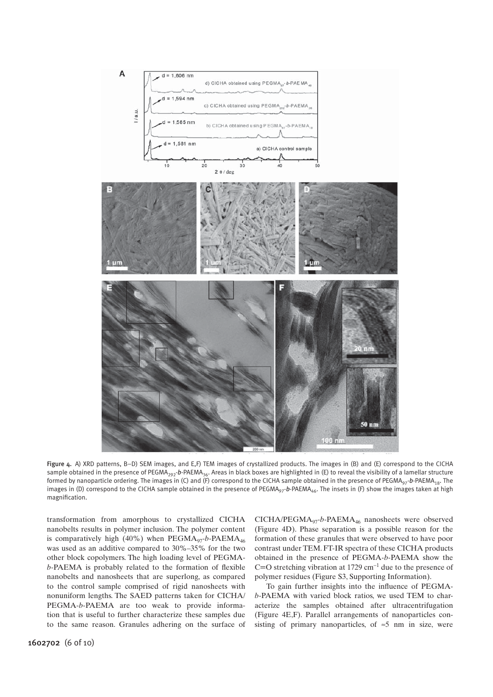

Figure 4. A) XRD patterns, B–D) SEM images, and E,F) TEM images of crystallized products. The images in (B) and (E) correspond to the CICHA sample obtained in the presence of PEGMA<sub>292</sub>-b-PAEMA<sub>36</sub>. Areas in black boxes are highlighted in (E) to reveal the visibility of a lamellar structure formed by nanoparticle ordering. The images in (C) and (F) correspond to the CICHA sample obtained in the presence of PEGMA<sub>97</sub>-b-PAEMA<sub>18</sub>. The images in (D) correspond to the CICHA sample obtained in the presence of PEGMA<sub>97</sub>-b-PAEMA<sub>46</sub>. The insets in (F) show the images taken at high magnification.

transformation from amorphous to crystallized CICHA nanobelts results in polymer inclusion. The polymer content is comparatively high (40%) when  $PEGMA_{97}$ -b-PAEMA<sub>46</sub> was used as an additive compared to 30%–35% for the two other block copolymers. The high loading level of PEGMA*b*-PAEMA is probably related to the formation of flexible nanobelts and nanosheets that are superlong, as compared to the control sample comprised of rigid nanosheets with nonuniform lengths. The SAED patterns taken for CICHA/ PEGMA-*b*-PAEMA are too weak to provide information that is useful to further characterize these samples due to the same reason. Granules adhering on the surface of CICHA/PEGMA<sub>97</sub>-b-PAEMA<sub>46</sub> nanosheets were observed (Figure 4D). Phase separation is a possible reason for the formation of these granules that were observed to have poor contrast under TEM. FT-IR spectra of these CICHA products obtained in the presence of PEGMA-*b*-PAEMA show the C=O stretching vibration at 1729 cm<sup>-1</sup> due to the presence of polymer residues (Figure S3, Supporting Information).

To gain further insights into the influence of PEGMA*b*-PAEMA with varied block ratios, we used TEM to characterize the samples obtained after ultracentrifugation (Figure 4E,F). Parallel arrangements of nanoparticles consisting of primary nanoparticles, of  $\approx$ 5 nm in size, were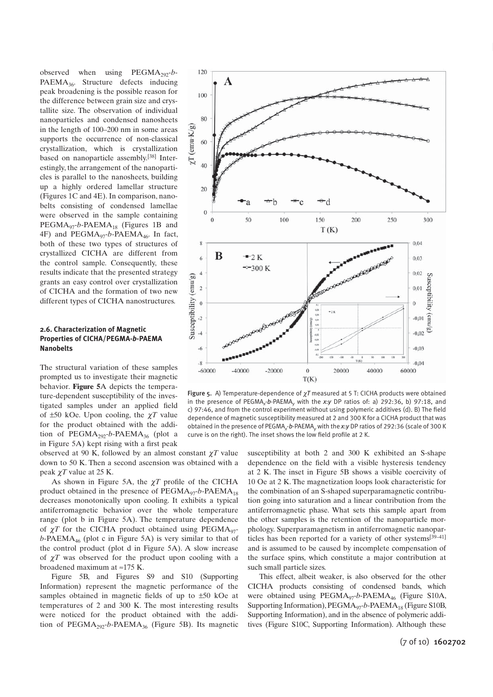observed when using PEGMA<sub>292</sub>-b-PAEMA<sub>36</sub>. Structure defects inducing peak broadening is the possible reason for the difference between grain size and crystallite size. The observation of individual nanoparticles and condensed nanosheets in the length of 100–200 nm in some areas supports the occurrence of non-classical crystallization, which is crystallization based on nanoparticle assembly.[38] Interestingly, the arrangement of the nanoparticles is parallel to the nanosheets, building up a highly ordered lamellar structure (Figures 1C and 4E). In comparison, nanobelts consisting of condensed lamellae were observed in the sample containing PEGMA<sub>97</sub>-*b*-PAEMA<sub>18</sub> (Figures 1B and  $4F$ ) and PEGMA<sub>97</sub>-b-PAEMA<sub>46</sub>. In fact, both of these two types of structures of crystallized CICHA are different from the control sample. Consequently, these results indicate that the presented strategy grants an easy control over crystallization of CICHA and the formation of two new different types of CICHA nanostructures.

### **2.6. Characterization of Magnetic Properties of CICHA/PEGMA-***b***-PAEMA Nanobelts**

The structural variation of these samples prompted us to investigate their magnetic behavior. **Figure 5**A depicts the temperature-dependent susceptibility of the investigated samples under an applied field of ±50 kOe. Upon cooling, the χ*T* value for the product obtained with the addition of PEGMA<sub>292</sub>-*b*-PAEMA<sub>36</sub> (plot a in Figure 5A) kept rising with a first peak

observed at 90 K, followed by an almost constant χ*T* value down to 50 K. Then a second ascension was obtained with a peak χ*T* value at 25 K.

As shown in Figure 5A, the χ*T* profile of the CICHA product obtained in the presence of  $PEGMA_{97}$ -b-PAEMA<sub>18</sub> decreases monotonically upon cooling. It exhibits a typical antiferromagnetic behavior over the whole temperature range (plot b in Figure 5A). The temperature dependence of  $\chi T$  for the CICHA product obtained using PEGMA<sub>97</sub> $b$ -PAEMA<sub>46</sub> (plot c in Figure 5A) is very similar to that of the control product (plot d in Figure 5A). A slow increase of χ*T* was observed for the product upon cooling with a broadened maximum at ≈175 K.

Figure 5B, and Figures S9 and S10 (Supporting Information) represent the magnetic performance of the samples obtained in magnetic fields of up to ±50 kOe at temperatures of 2 and 300 K. The most interesting results were noticed for the product obtained with the addition of  $PEGMA<sub>292</sub>$ - $b$ -PAEMA<sub>36</sub> (Figure 5B). Its magnetic



Figure 5. A) Temperature-dependence of χ*T* measured at 5 T: CICHA products were obtained in the presence of PEGMA*x*-*b*-PAEMA*y* with the *x*:*y* DP ratios of: a) 292:36, b) 97:18, and c) 97:46, and from the control experiment without using polymeric additives (d). B) The field dependence of magnetic susceptibility measured at 2 and 300 K for a CICHA product that was obtained in the presence of PEGMA*x*-*b*-PAEMA*y* with the *x*:*y* DP ratios of 292:36 (scale of 300 K curve is on the right). The inset shows the low field profile at 2 K.

susceptibility at both 2 and 300 K exhibited an S-shape dependence on the field with a visible hysteresis tendency at 2 K. The inset in Figure 5B shows a visible coercivity of 10 Oe at 2 K. The magnetization loops look characteristic for the combination of an S-shaped superparamagnetic contribution going into saturation and a linear contribution from the antiferromagnetic phase. What sets this sample apart from the other samples is the retention of the nanoparticle morphology. Superparamagnetism in antiferromagnetic nanoparticles has been reported for a variety of other systems[39–41] and is assumed to be caused by incomplete compensation of the surface spins, which constitute a major contribution at such small particle sizes.

This effect, albeit weaker, is also observed for the other CICHA products consisting of condensed bands, which were obtained using PEGMA<sub>97</sub>-b-PAEMA<sub>46</sub> (Figure S10A, Supporting Information), PEGMA<sub>97</sub>-b-PAEMA<sub>18</sub> (Figure S10B, Supporting Information), and in the absence of polymeric additives (Figure S10C, Supporting Information). Although these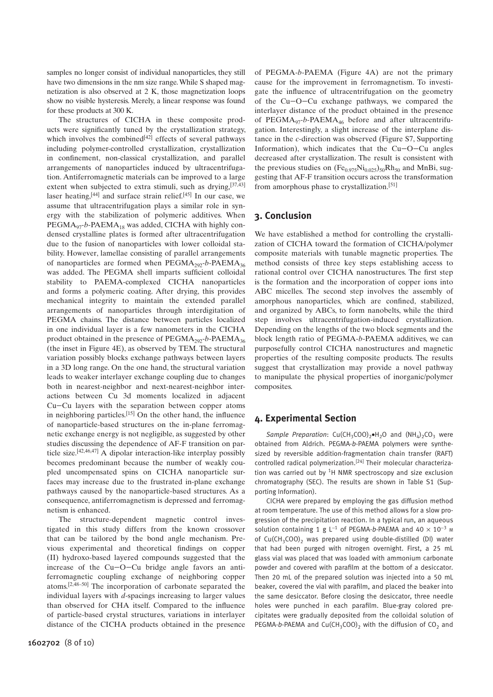samples no longer consist of individual nanoparticles, they still have two dimensions in the nm size range. While S shaped magnetization is also observed at 2 K, those magnetization loops show no visible hysteresis. Merely, a linear response was found for these products at 300 K.

The structures of CICHA in these composite products were significantly tuned by the crystallization strategy, which involves the combined $[42]$  effects of several pathways including polymer-controlled crystallization, crystallization in confinement, non-classical crystallization, and parallel arrangements of nanoparticles induced by ultracentrifugation. Antiferromagnetic materials can be improved to a large extent when subjected to extra stimuli, such as drying,  $[37,43]$ laser heating, $[44]$  and surface strain relief. $[45]$  In our case, we assume that ultracentrifugation plays a similar role in synergy with the stabilization of polymeric additives. When PEGMA<sub>97</sub>-*b*-PAEMA<sub>18</sub> was added, CICHA with highly condensed crystalline plates is formed after ultracentrifugation due to the fusion of nanoparticles with lower colloidal stability. However, lamellae consisting of parallel arrangements of nanoparticles are formed when PEGMA<sub>292</sub>-b-PAEMA<sub>36</sub> was added. The PEGMA shell imparts sufficient colloidal stability to PAEMA-complexed CICHA nanoparticles and forms a polymeric coating. After drying, this provides mechanical integrity to maintain the extended parallel arrangements of nanoparticles through interdigitation of PEGMA chains. The distance between particles localized in one individual layer is a few nanometers in the CICHA product obtained in the presence of  $PEGMA<sub>292</sub>$ - $b$ -PAEMA<sub>36</sub> (the inset in Figure 4E), as observed by TEM. The structural variation possibly blocks exchange pathways between layers in a 3D long range. On the one hand, the structural variation leads to weaker interlayer exchange coupling due to changes both in nearest-neighbor and next-nearest-neighbor interactions between Cu 3d moments localized in adjacent  $Cu-Cu$  layers with the separation between copper atoms in neighboring particles.[15] On the other hand, the influence of nanoparticle-based structures on the in-plane ferromagnetic exchange energy is not negligible, as suggested by other studies discussing the dependence of AF-F transition on particle size.<sup>[42,46,47]</sup> A dipolar interaction-like interplay possibly becomes predominant because the number of weakly coupled uncompensated spins on CICHA nanoparticle surfaces may increase due to the frustrated in-plane exchange pathways caused by the nanoparticle-based structures. As a consequence, antiferromagnetism is depressed and ferromagnetism is enhanced.

The structure-dependent magnetic control investigated in this study differs from the known crossover that can be tailored by the bond angle mechanism. Previous experimental and theoretical findings on copper (II) hydroxo-based layered compounds suggested that the increase of the  $Cu-O-Cu$  bridge angle favors an antiferromagnetic coupling exchange of neighboring copper atoms.[2,48–50] The incorporation of carbonate separated the individual layers with *d*-spacings increasing to larger values than observed for CHA itself. Compared to the influence of particle-based crystal structures, variations in interlayer distance of the CICHA products obtained in the presence of PEGMA-*b*-PAEMA (Figure 4A) are not the primary cause for the improvement in ferromagnetism. To investigate the influence of ultracentrifugation on the geometry of the  $Cu-O-Cu$  exchange pathways, we compared the interlayer distance of the product obtained in the presence of PEGMA<sub>97</sub>-*b*-PAEMA<sub>46</sub> before and after ultracentrifugation. Interestingly, a slight increase of the interplane distance in the *c*-direction was observed (Figure S7, Supporting Information), which indicates that the  $Cu-O-Cu$  angles decreased after crystallization. The result is consistent with the previous studies on  $(Fe_{0.975}Ni_{0.025})_{50}Rh_{50}$  and MnBi, suggesting that AF-F transition occurs across the transformation from amorphous phase to crystallization.[51]

## **3. Conclusion**

We have established a method for controlling the crystallization of CICHA toward the formation of CICHA/polymer composite materials with tunable magnetic properties. The method consists of three key steps establishing access to rational control over CICHA nanostructures. The first step is the formation and the incorporation of copper ions into ABC micelles. The second step involves the assembly of amorphous nanoparticles, which are confined, stabilized, and organized by ABCs, to form nanobelts, while the third step involves ultracentrifugation-induced crystallization. Depending on the lengths of the two block segments and the block length ratio of PEGMA-*b*-PAEMA additives, we can purposefully control CICHA nanostructures and magnetic properties of the resulting composite products. The results suggest that crystallization may provide a novel pathway to manipulate the physical properties of inorganic/polymer composites.

## **4. Experimental Section**

*Sample Preparation*: Cu(CH<sub>3</sub>COO)<sub>2</sub>•H<sub>2</sub>O and (NH<sub>4</sub>)<sub>2</sub>CO<sub>3</sub> were obtained from Aldrich. PEGMA-*b*-PAEMA polymers were synthesized by reversible addition-fragmentation chain transfer (RAFT) controlled radical polymerization.[24] Their molecular characterization was carried out by  $1H$  NMR spectroscopy and size exclusion chromatography (SEC). The results are shown in Table S1 (Supporting Information).

CICHA were prepared by employing the gas diffusion method at room temperature. The use of this method allows for a slow progression of the precipitation reaction. In a typical run, an aqueous solution containing 1 g L<sup>-1</sup> of PEGMA-*b*-PAEMA and 40 × 10<sup>-3</sup> M of  $Cu(CH_3COO)$ , was prepared using double-distilled (DI) water that had been purged with nitrogen overnight. First, a 25 mL glass vial was placed that was loaded with ammonium carbonate powder and covered with parafilm at the bottom of a desiccator. Then 20 mL of the prepared solution was injected into a 50 mL beaker, covered the vial with parafilm, and placed the beaker into the same desiccator. Before closing the desiccator, three needle holes were punched in each parafilm. Blue-gray colored precipitates were gradually deposited from the colloidal solution of PEGMA-b-PAEMA and  $Cu(CH_3COO)$ <sub>2</sub> with the diffusion of CO<sub>2</sub> and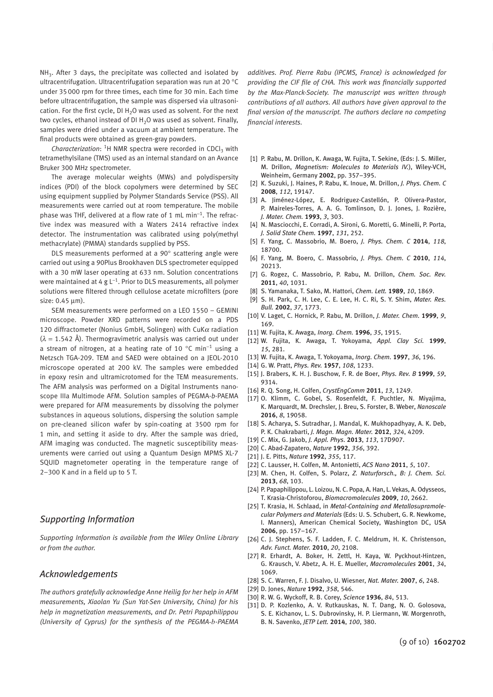$NH<sub>3</sub>$ . After 3 days, the precipitate was collected and isolated by ultracentrifugation. Ultracentrifugation separation was run at 20 °C under 35 000 rpm for three times, each time for 30 min. Each time before ultracentrifugation, the sample was dispersed via ultrasonication. For the first cycle, DI  $H<sub>2</sub>O$  was used as solvent. For the next two cycles, ethanol instead of DI  $H_2O$  was used as solvent. Finally, samples were dried under a vacuum at ambient temperature. The final products were obtained as green-gray powders.

*Characterization*: <sup>1</sup>H NMR spectra were recorded in CDCl<sub>3</sub> with tetramethylsilane (TMS) used as an internal standard on an Avance Bruker 300 MHz spectrometer.

The average molecular weights (MWs) and polydispersity indices (PDI) of the block copolymers were determined by SEC using equipment supplied by Polymer Standards Service (PSS). All measurements were carried out at room temperature. The mobile phase was THF, delivered at a flow rate of 1 mL min<sup>-1</sup>. The refractive index was measured with a Waters 2414 refractive index detector. The instrumentation was calibrated using poly(methyl methacrylate) (PMMA) standards supplied by PSS.

DLS measurements performed at a 90° scattering angle were carried out using a 90Plus Brookhaven DLS spectrometer equipped with a 30 mW laser operating at 633 nm. Solution concentrations were maintained at 4 g L<sup>-1</sup>. Prior to DLS measurements, all polymer solutions were filtered through cellulose acetate microfilters (pore size: 0.45 μm).

SEM measurements were performed on a LEO 1550 – GEMINI microscope. Powder XRD patterns were recorded on a PDS 120 diffractometer (Nonius GmbH, Solingen) with CuK $\alpha$  radiation  $(\lambda = 1.542 \text{ Å})$ . Thermogravimetric analysis was carried out under a stream of nitrogen, at a heating rate of 10 °C min<sup>−</sup>1 using a Netzsch TGA-209. TEM and SAED were obtained on a JEOL-2010 microscope operated at 200 kV. The samples were embedded in epoxy resin and ultramicrotomed for the TEM measurements. The AFM analysis was performed on a Digital Instruments nanoscope IIIa Multimode AFM. Solution samples of PEGMA-*b*-PAEMA were prepared for AFM measurements by dissolving the polymer substances in aqueous solutions, dispersing the solution sample on pre-cleaned silicon wafer by spin-coating at 3500 rpm for 1 min, and setting it aside to dry. After the sample was dried, AFM imaging was conducted. The magnetic susceptibility measurements were carried out using a Quantum Design MPMS XL-7 SQUID magnetometer operating in the temperature range of 2–300 K and in a field up to 5 T.

# *Supporting Information*

*Supporting Information is available from the Wiley Online Library or from the author.*

## *Acknowledgements*

*The authors gratefully acknowledge Anne Heilig for her help in AFM measurements, Xiaolan Yu (Sun Yat-Sen University, China) for his help in magnetization measurements, and Dr. Petri Papaphilippou (University of Cyprus) for the synthesis of the PEGMA-b-PAEMA* 

*additives. Prof. Pierre Rabu (IPCMS, France) is acknowledged for providing the CIF file of CHA. This work was financially supported by the Max-Planck-Society. The manuscript was written through contributions of all authors. All authors have given approval to the final version of the manuscript. The authors declare no competing financial interests.*

- [1] P. Rabu, M. Drillon, K. Awaga, W. Fujita, T. Sekine, (Eds: J. S. Miller, M. Drillon, *Magnetism: Molecules to Materials IV.*), Wiley-VCH, Weinheim, Germany **2002**, pp. 357–395.
- [2] K. Suzuki, J. Haines, P. Rabu, K. Inoue, M. Drillon, *J. Phys. Chem. C* **2008**, *112*, 19147.
- [3] A. Jiménez-López, E. Rodriguez-Castellón, P. Olivera-Pastor, P. Maireles-Torres, A. A. G. Tomlinson, D. J. Jones, J. Rozière, *J. Mater. Chem.* **1993**, *3*, 303.
- [4] N. Masciocchi, E. Corradi, A. Sironi, G. Moretti, G. Minelli, P. Porta, *J. Solid State Chem.* **1997**, *131*, 252.
- [5] F. Yang, C. Massobrio, M. Boero, *J. Phys. Chem. C* **2014**, *118*, 18700.
- [6] F. Yang, M. Boero, C. Massobrio, *J. Phys. Chem. C* **2010**, *114*, 20213.
- [7] G. Rogez, C. Massobrio, P. Rabu, M. Drillon, *Chem. Soc. Rev.* **2011**, *40*, 1031.
- [8] S. Yamanaka, T. Sako, M. Hattori, *Chem. Lett.* **1989**, *10*, 1869.
- [9] S. H. Park, C. H. Lee, C. E. Lee, H. C. Ri, S. Y. Shim, *Mater. Res.*
- *Bull.* **2002**, *37*, 1773. [10] V. Laget, C. Hornick, P. Rabu, M. Drillon, *J. Mater. Chem.* **1999**, *9*, 169.
- [11] W. Fujita, K. Awaga, *Inorg. Chem.* **1996**, *35*, 1915.
- [12] W. Fujita, K. Awaga, T. Yokoyama, *Appl. Clay Sci.* **1999**, *15*, 281.
- [13] W. Fujita, K. Awaga, T. Yokoyama, *Inorg. Chem.* **1997**, *36*, 196.
- [14] G. W. Pratt, *Phys. Rev.* **1957**, *108*, 1233.
- [15] J. Brabers, K. H. J. Buschow, F. R. de Boer, *Phys. Rev. B* **1999**, *59*, 9314.
- [16] R. Q. Song, H. Colfen, *CrystEngComm* **2011**, *13*, 1249.
- [17] O. Klimm, C. Gobel, S. Rosenfeldt, F. Puchtler, N. Miyajima, K. Marquardt, M. Drechsler, J. Breu, S. Forster, B. Weber, *Nanoscale* **2016**, *8*, 19058.
- [18] S. Acharya, S. Sutradhar, J. Mandal, K. Mukhopadhyay, A. K. Deb, P. K. Chakrabarti, *J. Magn. Magn. Mater.* **2012**, *324*, 4209.
- [19] C. Mix, G. Jakob, *J. Appl. Phys.* **2013**, *113*, 17D907.
- [20] C. Abad-Zapatero, *Nature* **1992**, *356*, 392.
- [21] J. E. Pitts, *Nature* **1992**, *355*, 117.
- [22] C. Lausser, H. Colfen, M. Antonietti, *ACS Nano* **2011**, *5*, 107.
- [23] M. Chen, H. Colfen, S. Polarz, *Z. Naturforsch., B: J. Chem. Sci.* **2013**, *68*, 103.
- [24] P. Papaphilippou, L. Loizou, N. C. Popa, A. Han, L. Vekas, A. Odysseos, T. Krasia-Christoforou, *Biomacromolecules* **2009**, *10*, 2662.
- [25] T. Krasia, H. Schlaad, in *Metal-Containing and Metallosupramolecular Polymers and Materials* (Eds: U. S. Schubert, G. R. Newkome, I. Manners), American Chemical Society, Washington DC, USA **2006**, pp. 157–167.
- [26] C. J. Stephens, S. F. Ladden, F. C. Meldrum, H. K. Christenson, *Adv. Funct. Mater.* **2010**, *20*, 2108.
- [27] R. Erhardt, A. Boker, H. Zettl, H. Kaya, W. Pyckhout-Hintzen, G. Krausch, V. Abetz, A. H. E. Mueller, *Macromolecules* **2001**, *34*, 1069.
- [28] S. C. Warren, F. J. Disalvo, U. Wiesner, *Nat. Mater.* **2007**, *6*, 248.
- [29] D. Jones, *Nature* **1992**, *358*, 546.
- [30] R. W. G. Wyckoff, R. B. Corey, *Science* **1936**, *84*, 513.
- [31] D. P. Kozlenko, A. V. Rutkauskas, N. T. Dang, N. O. Golosova, S. E. Kichanov, L. S. Dubrovinsky, H. P. Liermann, W. Morgenroth, B. N. Savenko, *JETP Lett.* **2014**, *100*, 380.